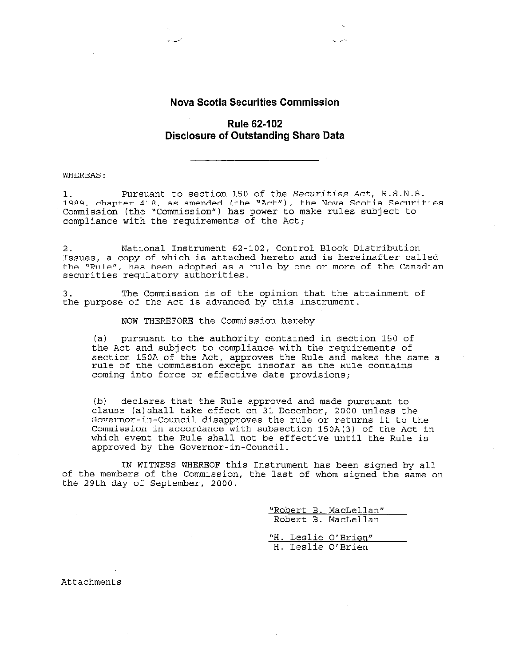#### **Nova Scotia Securities Commission**

### **Rule 62-102 Disclosure of Outstanding Share Data**

#### **WHEREAS:**

Pursuant to section 150 of the Securities Act, R.S.N.S. 1. 1989, chapter 418, as amended (the "Act"), the Nova Scotia Securities Commission (the "Commission") has power to make rules subject to compliance with the requirements of the Act;

National Instrument 62-102, Control Block Distribution  $2.$ Issues, a copy of which is attached hereto and is hereinafter called the "Rule", has been adopted as a rule by one or more of the Canadian securities regulatory authorities.

The Commission is of the opinion that the attainment of  $3$ the purpose of the Act is advanced by this Instrument.

#### NOW THEREFORE the Commission hereby

(a) pursuant to the authority contained in section 150 of the Act and subject to compliance with the requirements of section 150A of the Act, approves the Rule and makes the same a rule of the Commission except insofar as the Rule contains coming into force or effective date provisions;

declares that the Rule approved and made pursuant to  $(b)$ clause (a) shall take effect on 31 December, 2000 unless the Governor-in-Council disapproves the rule or returns it to the Commission in accordance with subsection 150A(3) of the Act in which event the Rule shall not be effective until the Rule is approved by the Governor-in-Council.

IN WITNESS WHEREOF this Instrument has been signed by all of the members of the Commission, the last of whom signed the same on the 29th day of September, 2000.

> "Robert B. MacLellan" Robert B. MacLellan

> "H. Leslie O'Brien" H. Leslie O'Brien

Attachments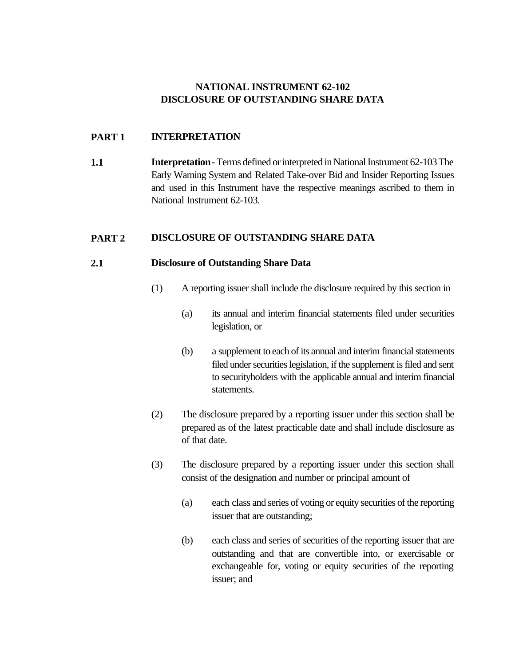## **NATIONAL INSTRUMENT 62-102 DISCLOSURE OF OUTSTANDING SHARE DATA**

## **PART 1 INTERPRETATION**

**1.1 Interpretation** - Terms defined or interpreted in National Instrument 62-103 The Early Warning System and Related Take-over Bid and Insider Reporting Issues and used in this Instrument have the respective meanings ascribed to them in National Instrument 62-103.

## **PART 2 DISCLOSURE OF OUTSTANDING SHARE DATA**

## **2.1 Disclosure of Outstanding Share Data**

- (1) A reporting issuer shall include the disclosure required by this section in
	- (a) its annual and interim financial statements filed under securities legislation, or
	- (b) a supplement to each of its annual and interim financial statements filed under securities legislation, if the supplement is filed and sent to securityholders with the applicable annual and interim financial statements.
- (2) The disclosure prepared by a reporting issuer under this section shall be prepared as of the latest practicable date and shall include disclosure as of that date.
- (3) The disclosure prepared by a reporting issuer under this section shall consist of the designation and number or principal amount of
	- (a) each class and series of voting or equity securities of the reporting issuer that are outstanding;
	- (b) each class and series of securities of the reporting issuer that are outstanding and that are convertible into, or exercisable or exchangeable for, voting or equity securities of the reporting issuer; and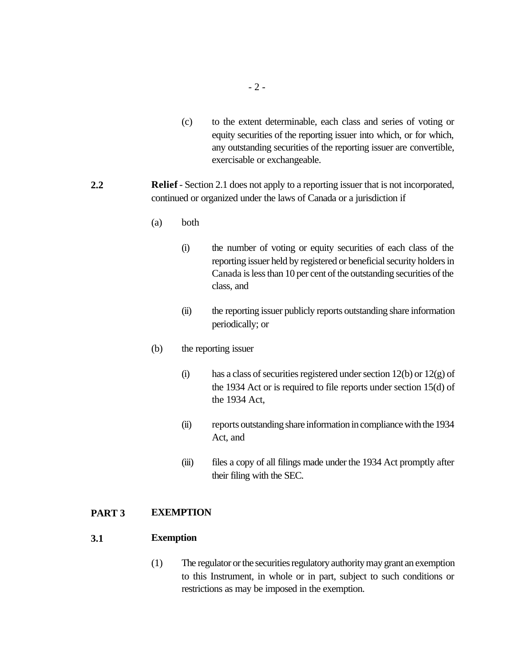- (c) to the extent determinable, each class and series of voting or equity securities of the reporting issuer into which, or for which, any outstanding securities of the reporting issuer are convertible, exercisable or exchangeable.
- **2.2 Relief** Section 2.1 does not apply to a reporting issuer that is not incorporated, continued or organized under the laws of Canada or a jurisdiction if
	- (a) both
		- (i) the number of voting or equity securities of each class of the reporting issuer held by registered or beneficial security holders in Canada is less than 10 per cent of the outstanding securities of the class, and
		- (ii) the reporting issuer publicly reports outstanding share information periodically; or
	- (b) the reporting issuer
		- (i) has a class of securities registered under section 12(b) or 12(g) of the 1934 Act or is required to file reports under section 15(d) of the 1934 Act,
		- (ii) reports outstanding share information in compliance with the 1934 Act, and
		- (iii) files a copy of all filings made under the 1934 Act promptly after their filing with the SEC.

## **PART 3 EXEMPTION**

#### **3.1 Exemption**

(1) The regulator or the securities regulatory authority may grant an exemption to this Instrument, in whole or in part, subject to such conditions or restrictions as may be imposed in the exemption.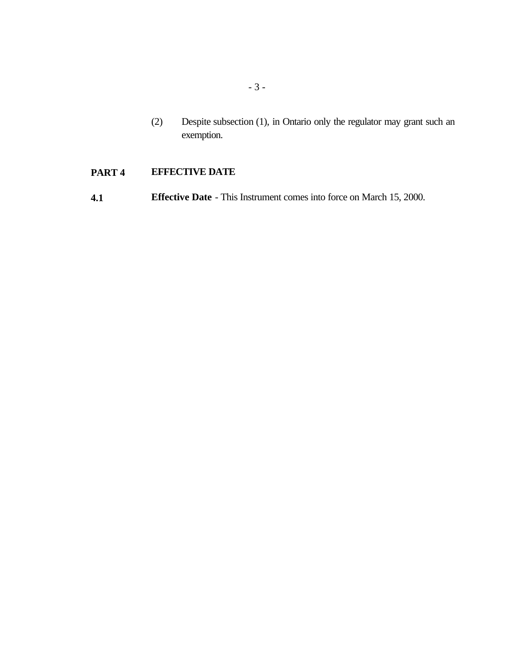(2) Despite subsection (1), in Ontario only the regulator may grant such an exemption.

# **PART 4 EFFECTIVE DATE**

**4.1 Effective Date** - This Instrument comes into force on March 15, 2000.